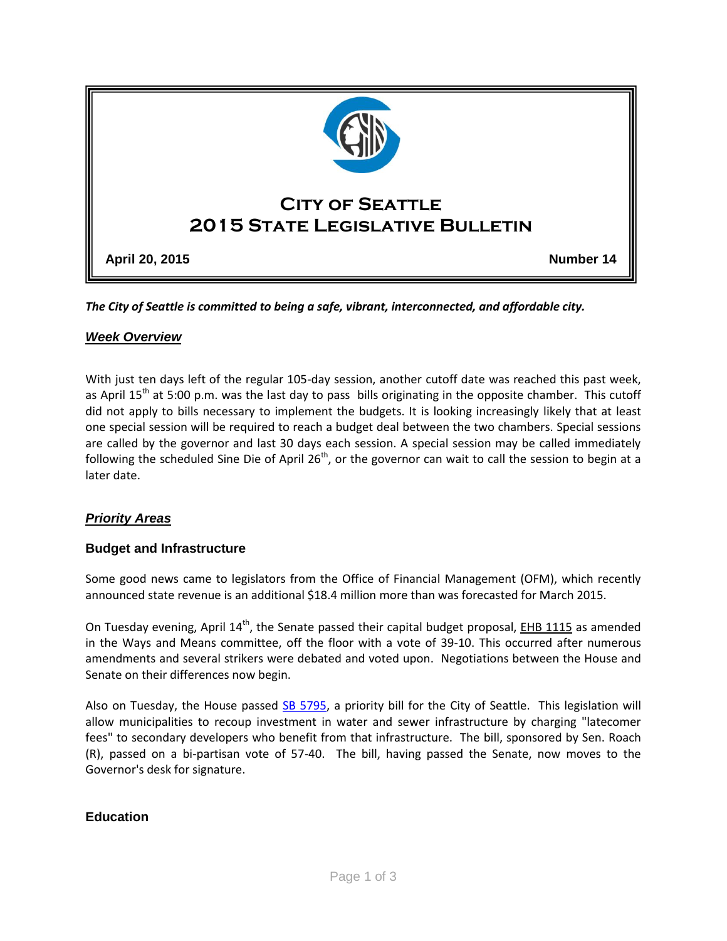

*The City of Seattle is committed to being a safe, vibrant, interconnected, and affordable city.* 

#### *Week Overview*

With just ten days left of the regular 105-day session, another cutoff date was reached this past week, as April 15<sup>th</sup> at 5:00 p.m. was the last day to pass bills originating in the opposite chamber. This cutoff did not apply to bills necessary to implement the budgets. It is looking increasingly likely that at least one special session will be required to reach a budget deal between the two chambers. Special sessions are called by the governor and last 30 days each session. A special session may be called immediately following the scheduled Sine Die of April  $26<sup>th</sup>$ , or the governor can wait to call the session to begin at a later date.

## *Priority Areas*

#### **Budget and Infrastructure**

Some good news came to legislators from the Office of Financial Management (OFM), which recently announced state revenue is an additional \$18.4 million more than was forecasted for March 2015.

On Tuesday evening, April  $14<sup>th</sup>$ , the Senate passed their capital budget proposal, EHB [1115](http://app.leg.wa.gov/billinfo/summary.aspx?bill=1115&year=2015) as amended in the Ways and Means committee, off the floor with a vote of 39-10. This occurred after numerous amendments and several strikers were debated and voted upon. Negotiations between the House and Senate on their differences now begin.

Also on Tuesday, the House passed [SB 5795,](http://app.leg.wa.gov/billinfo/summary.aspx?bill=5795&year=2015) a priority bill for the City of Seattle. This legislation will allow municipalities to recoup investment in water and sewer infrastructure by charging "latecomer fees" to secondary developers who benefit from that infrastructure. The bill, sponsored by Sen. Roach (R), passed on a bi-partisan vote of 57-40. The bill, having passed the Senate, now moves to the Governor's desk for signature.

#### **Education**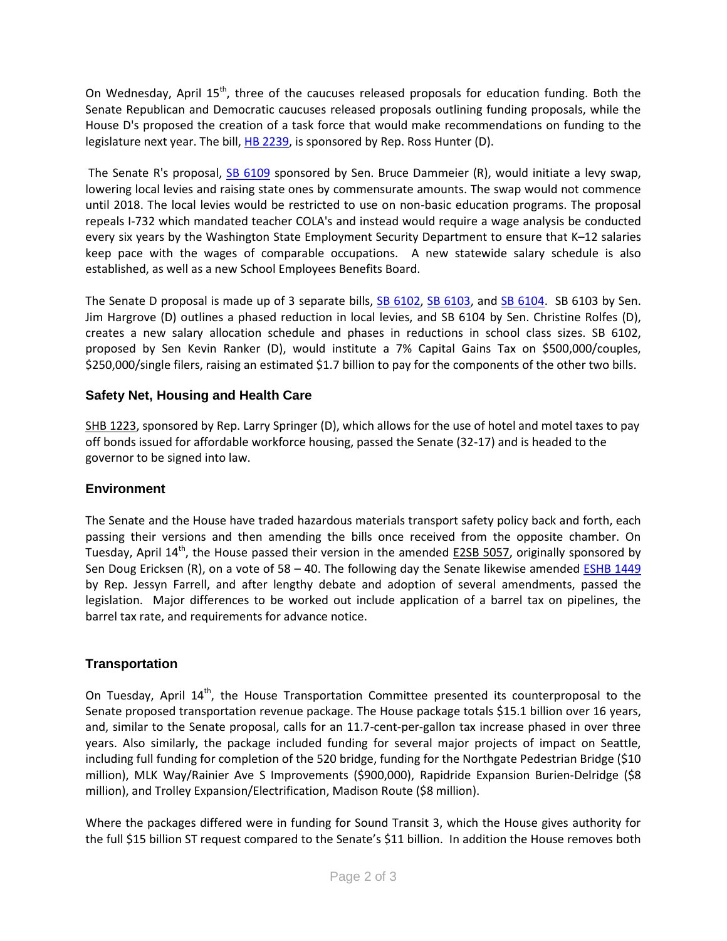On Wednesday, April 15<sup>th</sup>, three of the caucuses released proposals for education funding. Both the Senate Republican and Democratic caucuses released proposals outlining funding proposals, while the House D's proposed the creation of a task force that would make recommendations on funding to the legislature next year. The bill, [HB 2239,](http://app.leg.wa.gov/billinfo/summary.aspx?bill=2239&year=2015) is sponsored by Rep. Ross Hunter (D).

The Senate R's proposal, [SB 6109](http://app.leg.wa.gov/billinfo/summary.aspx?bill=6109&year=2015) sponsored by Sen. Bruce Dammeier (R), would initiate a levy swap, lowering local levies and raising state ones by commensurate amounts. The swap would not commence until 2018. The local levies would be restricted to use on non-basic education programs. The proposal repeals I-732 which mandated teacher COLA's and instead would require a wage analysis be conducted every six years by the Washington State Employment Security Department to ensure that K–12 salaries keep pace with the wages of comparable occupations. A new statewide salary schedule is also established, as well as a new School Employees Benefits Board.

The Senate D proposal is made up of 3 separate bills, [SB 6102,](http://app.leg.wa.gov/billinfo/summary.aspx?bill=6102&year=2015) [SB 6103,](http://app.leg.wa.gov/billinfo/summary.aspx?bill=6103&year=2015) and [SB 6104.](http://app.leg.wa.gov/billinfo/summary.aspx?bill=6104&year=2015) SB 6103 by Sen. Jim Hargrove (D) outlines a phased reduction in local levies, and SB 6104 by Sen. Christine Rolfes (D), creates a new salary allocation schedule and phases in reductions in school class sizes. SB 6102, proposed by Sen Kevin Ranker (D), would institute a 7% Capital Gains Tax on \$500,000/couples, \$250,000/single filers, raising an estimated \$1.7 billion to pay for the components of the other two bills.

## **Safety Net, Housing and Health Care**

[SHB 1223,](http://app.leg.wa.gov/billinfo/summary.aspx?bill=1223&year=2015) sponsored by Rep. Larry Springer (D), which allows for the use of hotel and motel taxes to pay off bonds issued for affordable workforce housing, passed the Senate (32-17) and is headed to the governor to be signed into law.

## **Environment**

The Senate and the House have traded hazardous materials transport safety policy back and forth, each passing their versions and then amending the bills once received from the opposite chamber. On Tuesday, April  $14^{th}$ , the House passed their version in the amended  $E2SB$  5057, originally sponsored by Sen Doug Ericksen (R), on a vote of 58 – 40. The following day the Senate likewise amended **ESHB 1449** by Rep. Jessyn Farrell, and after lengthy debate and adoption of several amendments, passed the legislation. Major differences to be worked out include application of a barrel tax on pipelines, the barrel tax rate, and requirements for advance notice.

## **Transportation**

On Tuesday, April  $14<sup>th</sup>$ , the House Transportation Committee presented its counterproposal to the Senate proposed transportation revenue package. The House package totals \$15.1 billion over 16 years, and, similar to the Senate proposal, calls for an 11.7-cent-per-gallon tax increase phased in over three years. Also similarly, the package included funding for several major projects of impact on Seattle, including full funding for completion of the 520 bridge, funding for the Northgate Pedestrian Bridge (\$10 million), MLK Way/Rainier Ave S Improvements (\$900,000), Rapidride Expansion Burien-Delridge (\$8 million), and Trolley Expansion/Electrification, Madison Route (\$8 million).

Where the packages differed were in funding for Sound Transit 3, which the House gives authority for the full \$15 billion ST request compared to the Senate's \$11 billion. In addition the House removes both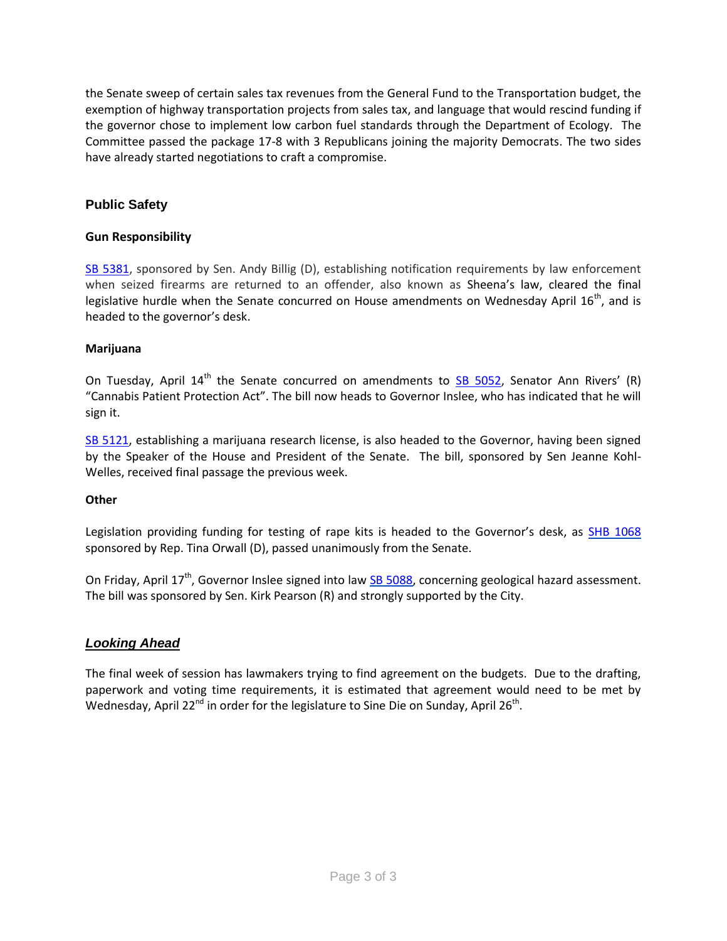the Senate sweep of certain sales tax revenues from the General Fund to the Transportation budget, the exemption of highway transportation projects from sales tax, and language that would rescind funding if the governor chose to implement low carbon fuel standards through the Department of Ecology. The Committee passed the package 17-8 with 3 Republicans joining the majority Democrats. The two sides have already started negotiations to craft a compromise.

# **Public Safety**

#### **Gun Responsibility**

[SB 5381,](http://app.leg.wa.gov/DLR/billsummary/default.aspx?Bill=5381&year=2015) sponsored by Sen. Andy Billig (D), establishing notification requirements by law enforcement when seized firearms are returned to an offender, also known as Sheena's law, cleared the final legislative hurdle when the Senate concurred on House amendments on Wednesday April 16<sup>th</sup>, and is headed to the governor's desk.

#### **Marijuana**

On Tuesday, April  $14<sup>th</sup>$  the Senate concurred on amendments to [SB 5052](http://app.leg.wa.gov/billinfo/summary.aspx?bill=5052&year=2015), Senator Ann Rivers' (R) "Cannabis Patient Protection Act". The bill now heads to Governor Inslee, who has indicated that he will sign it.

[SB 5121,](http://app.leg.wa.gov/DLR/billsummary/default.aspx?Bill=5121&year=2015) establishing a marijuana research license, is also headed to the Governor, having been signed by the Speaker of the House and President of the Senate. The bill, sponsored by Sen Jeanne Kohl-Welles, received final passage the previous week.

#### **Other**

Legislation providing funding for testing of rape kits is headed to the Governor's desk, as [SHB 1068](http://app.leg.wa.gov/billinfo/summary.aspx?bill=1068&year=2015) sponsored by Rep. Tina Orwall (D), passed unanimously from the Senate.

On Friday, April 17<sup>th</sup>, Governor Inslee signed into law [SB 5088,](http://app.leg.wa.gov/billinfo/summary.aspx?bill=5088&year=2015) concerning geological hazard assessment. The bill was sponsored by Sen. Kirk Pearson (R) and strongly supported by the City.

## *Looking Ahead*

The final week of session has lawmakers trying to find agreement on the budgets. Due to the drafting, paperwork and voting time requirements, it is estimated that agreement would need to be met by Wednesday, April 22<sup>nd</sup> in order for the legislature to Sine Die on Sunday, April 26<sup>th</sup>.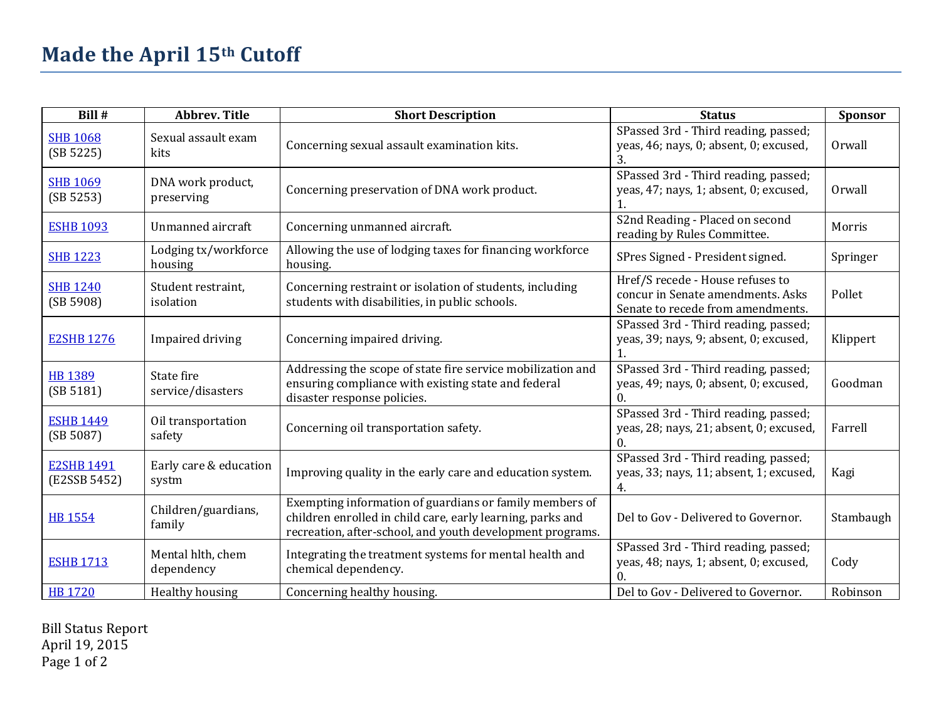| Bill #                            | <b>Abbrev. Title</b>            | <b>Short Description</b>                                                                                                                                                           | <b>Status</b>                                                                                              | Sponsor   |
|-----------------------------------|---------------------------------|------------------------------------------------------------------------------------------------------------------------------------------------------------------------------------|------------------------------------------------------------------------------------------------------------|-----------|
| <b>SHB 1068</b><br>(SB 5225)      | Sexual assault exam<br>kits     | Concerning sexual assault examination kits.                                                                                                                                        | SPassed 3rd - Third reading, passed;<br>yeas, 46; nays, 0; absent, 0; excused,<br>3.                       | Orwall    |
| <b>SHB 1069</b><br>(SB 5253)      | DNA work product,<br>preserving | Concerning preservation of DNA work product.                                                                                                                                       | SPassed 3rd - Third reading, passed;<br>yeas, 47; nays, 1; absent, 0; excused,                             | Orwall    |
| <b>ESHB 1093</b>                  | Unmanned aircraft               | Concerning unmanned aircraft.                                                                                                                                                      | S2nd Reading - Placed on second<br>reading by Rules Committee.                                             | Morris    |
| <b>SHB 1223</b>                   | Lodging tx/workforce<br>housing | Allowing the use of lodging taxes for financing workforce<br>housing.                                                                                                              | SPres Signed - President signed.                                                                           | Springer  |
| <b>SHB 1240</b><br>(SB 5908)      | Student restraint,<br>isolation | Concerning restraint or isolation of students, including<br>students with disabilities, in public schools.                                                                         | Href/S recede - House refuses to<br>concur in Senate amendments, Asks<br>Senate to recede from amendments. | Pollet    |
| <b>E2SHB 1276</b>                 | Impaired driving                | Concerning impaired driving.                                                                                                                                                       | SPassed 3rd - Third reading, passed;<br>yeas, 39; nays, 9; absent, 0; excused,                             | Klippert  |
| <b>HB 1389</b><br>(SB 5181)       | State fire<br>service/disasters | Addressing the scope of state fire service mobilization and<br>ensuring compliance with existing state and federal<br>disaster response policies.                                  | SPassed 3rd - Third reading, passed;<br>yeas, 49; nays, 0; absent, 0; excused,<br>0.                       | Goodman   |
| <b>ESHB 1449</b><br>(SB 5087)     | Oil transportation<br>safety    | Concerning oil transportation safety.                                                                                                                                              | SPassed 3rd - Third reading, passed;<br>yeas, 28; nays, 21; absent, 0; excused,                            | Farrell   |
| <b>E2SHB 1491</b><br>(E2SSB 5452) | Early care & education<br>systm | Improving quality in the early care and education system.                                                                                                                          | SPassed 3rd - Third reading, passed;<br>yeas, 33; nays, 11; absent, 1; excused,<br>4.                      | Kagi      |
| <b>HB 1554</b>                    | Children/guardians,<br>family   | Exempting information of guardians or family members of<br>children enrolled in child care, early learning, parks and<br>recreation, after-school, and youth development programs. | Del to Gov - Delivered to Governor.                                                                        | Stambaugh |
| <b>ESHB 1713</b>                  | Mental hlth, chem<br>dependency | Integrating the treatment systems for mental health and<br>chemical dependency.                                                                                                    | SPassed 3rd - Third reading, passed;<br>yeas, 48; nays, 1; absent, 0; excused,                             | Cody      |
| <b>HB 1720</b>                    | Healthy housing                 | Concerning healthy housing.                                                                                                                                                        | Del to Gov - Delivered to Governor.                                                                        | Robinson  |

Bill Status Report April 19, 2015 Page 1 of 2